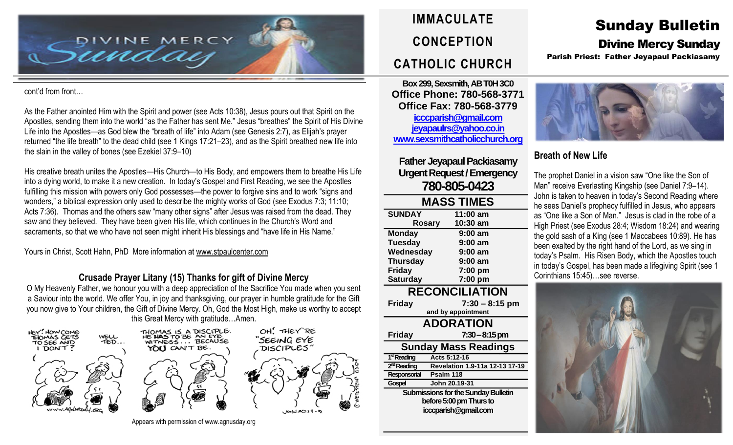

#### cont'd from front…

As the Father anointed Him with the Spirit and power (see Acts 10:38), Jesus pours out that Spirit on the Apostles, sending them into the world "as the Father has sent Me." Jesus "breathes" the Spirit of His Divine Life into the Apostles—as God blew the "breath of life" into Adam (see Genesis 2:7), as Elijah's prayer returned "the life breath" to the dead child (see 1 Kings 17:21–23), and as the Spirit breathed new life into the slain in the valley of bones (see Ezekiel 37:9–10)

His creative breath unites the Apostles—His Church—to His Body, and empowers them to breathe His Life into a dying world, to make it a new creation. In today's Gospel and First Reading, we see the Apostles fulfilling this mission with powers only God possesses—the power to forgive sins and to work "signs and wonders," a biblical expression only used to describe the mighty works of God (see Exodus 7:3; 11:10; Acts 7:36). Thomas and the others saw "many other signs" after Jesus was raised from the dead. They saw and they believed. They have been given His life, which continues in the Church's Word and sacraments, so that we who have not seen might inherit His blessings and "have life in His Name."

Yours in Christ, Scott Hahn, PhD More information at [www.stpaulcenter.com](http://www.stpaulcenter.com/)

### **Crusade Prayer Litany (15) Thanks for gift of Divine Mercy**

O My Heavenly Father, we honour you with a deep appreciation of the Sacrifice You made when you sent a Saviour into the world. We offer You, in joy and thanksgiving, our prayer in humble gratitude for the Gift you now give to Your children, the Gift of Divine Mercy. Oh, God the Most High, make us worthy to accept this Great Mercy with gratitude…Amen.



Appears with permission of www.agnusday.org

# **IMMACULATE CONCEPTION CATHOLIC CHURCH**

**Box 299, Sexsmith, AB T0H 3C0 Office Phone: 780-568-3771 Office Fax: 780-568-3779 [icccparish@gmail.com](mailto:icccparish@gmail.com) [jeyapaulrs@yahoo.co.in](mailto:jeyapaulrs@yahoo.co.in) [www.sexsmithcatholicchurch.org](http://www.sexsmithcatholicchurch.org/)**

**Father Jeyapaul Packiasamy Urgent Request/Emergency 780-805-0423**

| <b>MASS TIMES</b> |           |  |  |
|-------------------|-----------|--|--|
| <b>SUNDAY</b>     | 11:00 am  |  |  |
| <b>Rosary</b>     | 10:30 am  |  |  |
| <b>Monday</b>     | $9:00$ am |  |  |
| <b>Tuesday</b>    | $9:00$ am |  |  |
| Wednesday         | $9:00$ am |  |  |
| <b>Thursday</b>   | $9:00$ am |  |  |
| <b>Friday</b>     | 7:00 pm   |  |  |
| <b>Saturday</b>   | 7:00 pm   |  |  |
|                   |           |  |  |

## **RECONCILIATION**

**Friday 7:30 – 8:15 pm and by appointment ADORATION Friday 7:30–8:15 pm Sunday Mass Readings** 1<sup>st</sup> Reading **stReading Acts 5:12-16** 2<sup>nd</sup> Reading **ndReading Revelation 1.9-11a 12-13 17-19 Responsorial Psalm 118 Gospel John 20.19-31 Submissions for the Sunday Bulletin before 5:00 pm Thursto icccparish@gmail.com**

## Sunday Bulletin Divine Mercy Sunday

Parish Priest: Father Jeyapaul Packiasamy



## **Breath of New Life**

The prophet Daniel in a vision saw "One like the Son of Man" receive Everlasting Kingship (see Daniel 7:9–14). John is taken to heaven in today's Second Reading where he sees Daniel's prophecy fulfilled in Jesus, who appears as "One like a Son of Man." Jesus is clad in the robe of a High Priest (see Exodus 28:4; Wisdom 18:24) and wearing the gold sash of a King (see 1 Maccabees 10:89). He has been exalted by the right hand of the Lord, as we sing in today's Psalm. His Risen Body, which the Apostles touch in today's Gospel, has been made a lifegiving Spirit (see 1 Corinthians 15:45)…see reverse.